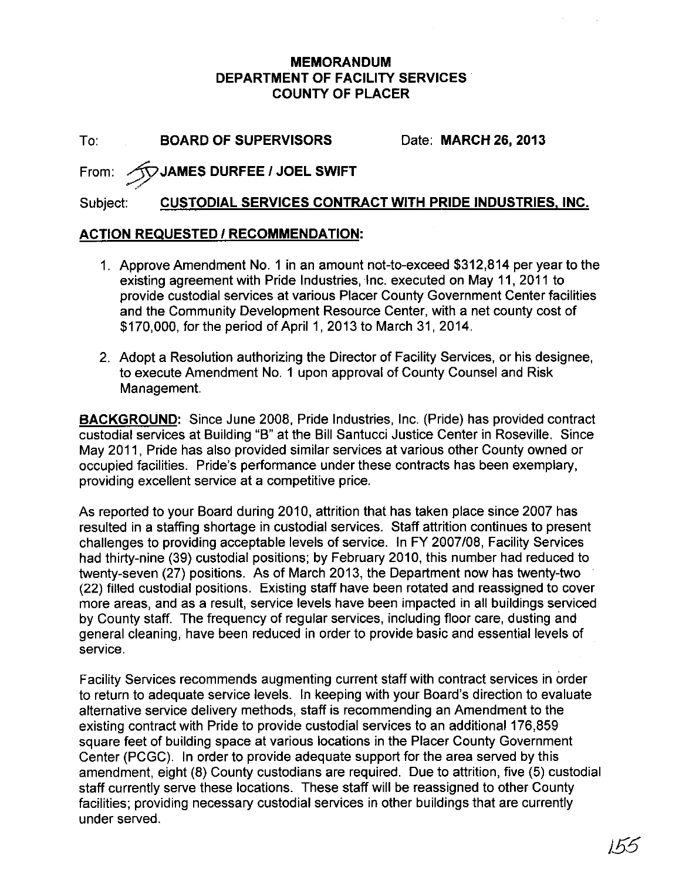## **MEMORANDUM DEPARTMENT OF FACILITY SERVICES COUNTY OF PLACER**

To: **BOARD OF SUPERVISORS** Date: **MARCH 26,2013**

## From: **:8?JAMES DURFEE 1JOEL SWIFT**

## Subject: **CUSTODIAL SERVICES CONTRACT WITH PRIDE INDUSTRIES, INC.**

## **ACTION REQUESTED** *1***RECOMMENDATION:**

- 1. Approve Amendment NO.1 in an amount not-to-exceed \$312,814 per year to the existing agreement with Pride Industries, Inc. executed on May 11, 2011 to provide custodial services at various Placer County Government Center facilities and the Community Development Resource Center, with a net county cost of \$170,000, for the period of April 1, 2013 to March 31, 2014.
- 2. Adopt a Resolution authorizing the Director of Facility Services, or his designee, to execute Amendment No. 1 upon approval of County Counsel and Risk Management.

**BACKGROUND:** Since June 2008, Pride Industries, Inc. (Pride) has provided contract custodial services at Building "B" at the Bill Santucci Justice Center in Roseville. Since May 2011, Pride has also provided similar services at various other County owned or occupied facilities. Pride's performance under these contracts has been exemplary, providing excellent service at a competitive price.

As reported to your Board during 2010, attrition that has taken place since 2007 has resulted in a staffing shortage in custodial services. Staff attrition continues to present challenges to providing acceptable levels of service. In FY 2007108, Facility Services had thirty-nine (39) custodial positions; by February 2010, this number had reduced to twenty-seven (27) positions. As of March 2013, the Department now has twenty-two (22) filled custodial positions. Existing staff have been rotated and reassigned to cover more areas, and as a result, service levels have been impacted in all buildings serviced by County staff. The frequency of regular services, including floor care, dusting and general cleaning, have been reduced in order to provide basic and essential levels of service.

Facility Services recommends augmenting current staff with contract services in order to return to adequate service levels. In keeping with your Board's direction to evaluate alternative service delivery methods, staff is recommending an Amendment to the existing contract with Pride to provide custodial services to an additional 176,859 square feet of building space at various locations in the Placer County Government Center (PCGC). In order to provide adequate support for the area served by this amendment, eight (8) County custodians are required. Due to attrition, five (5) custodial staff currently serve these locations. These staff will be reassigned to other County facilities; providing necessary custodial services in other buildings that are currently under served.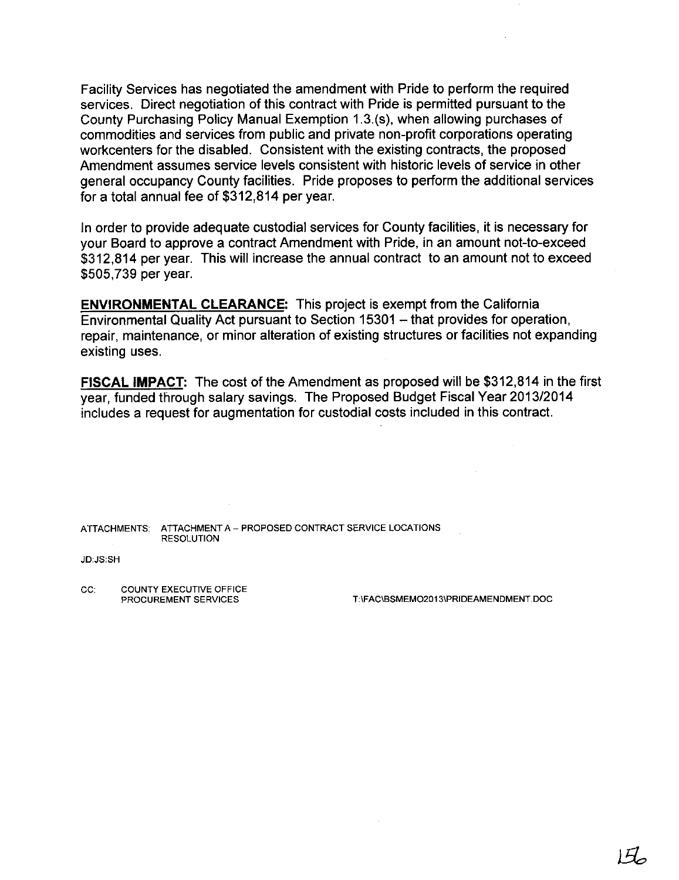Facility Services has negotiated the amendment with Pride to perform the required services. Direct negotiation of this contract with Pride is permitted pursuant to the County Purchasing Policy Manual Exemption 1.3.(s), when allowing purchases of commodities and services from public and private non-profit corporations operating workcenters for the disabled. Consistent with the existing contracts, the proposed Amendment assumes service levels consistent with historic levels of service in other general occupancy County facilities. Pride proposes to perform the additional services for a total annual fee of \$312,814 per year.

In order to provide adequate custodial services for County facilities, it is necessary for your Board to approve a contract Amendment with Pride, in an amount not-to-exceed \$312,814 per year. This will increase the annual contract to an amount not to exceed \$505,739 per year.

**ENVIRONMENTAL CLEARANCE:** This project is exempt from the California Environmental Quality Act pursuant to Section 15301 - that provides for operation, repair, maintenance, or minor alteration of existing structures or facilities not expanding existing uses.

**FISCAL IMPACT:** The cost of the Amendment as proposed will be \$312,814 in the first year, funded through salary savings. The Proposed Budget Fiscal Year 2013/2014 includes a request for augmentation for custodial costs included in this contract.

ATTACHMENTS: ATTACHMENT A - PROPOSED CONTRACT SERVICE LOCATIONS RESOLUTION

#### JD:JS:SH

CC: COUNTY EXECUTIVE OFFICE<br>PROCUREMENT SERVICES

T:\FAC\BSMEMO2013\PRIDEAMENDMENT.DOC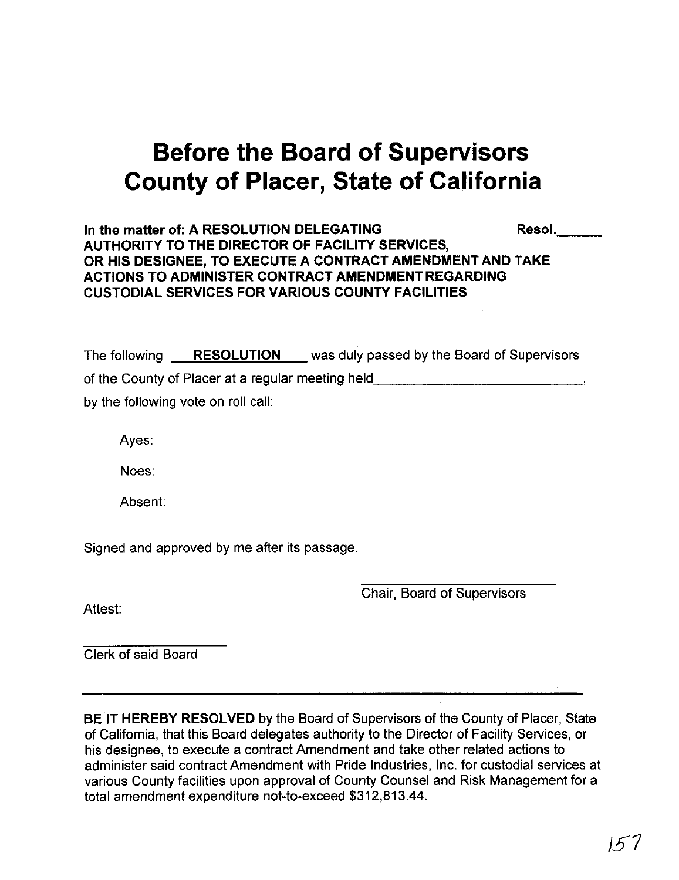# **Before the Board of Supervisors County of Placer, State of California**

In the matter of: A RESOLUTION DELEGATING **Resol.** Resol. **AUTHORITY TO THE DIRECTOR OF FACILITY SERVICES, OR HIS DESIGNEE, TO EXECUTE A CONTRACT** AMENDMENT AND **TAKE ACTIONS TO ADMINISTER CONTRACT AMENDMENT REGARDING CUSTODIAL SERVICES FOR VARIOUS COUNTY FACILITIES**

The following **RESOLUTION** was duly passed by the Board of Supervisors of the County of Placer at a regular meeting held **with the County of Placer at a regular meeting** by the following vote on roll call:

Ayes:

Noes:

Absent:

Signed and approved by me after its passage.

Attest:

Chair, Board of Supervisors

Clerk of said Board

**BE IT HEREBY RESOLVED** by the Board of Supervisors of the County of Placer, State of California, that this Board delegates authority to the Director of Facility Services, or his designee, to execute a contract Amendment and take other related actions to administer said contract Amendment with Pride Industries, Inc. for custodial services at various County facilities upon approval of County Counsel and Risk Management for a total amendment expenditure not-to-exceed \$312,813.44.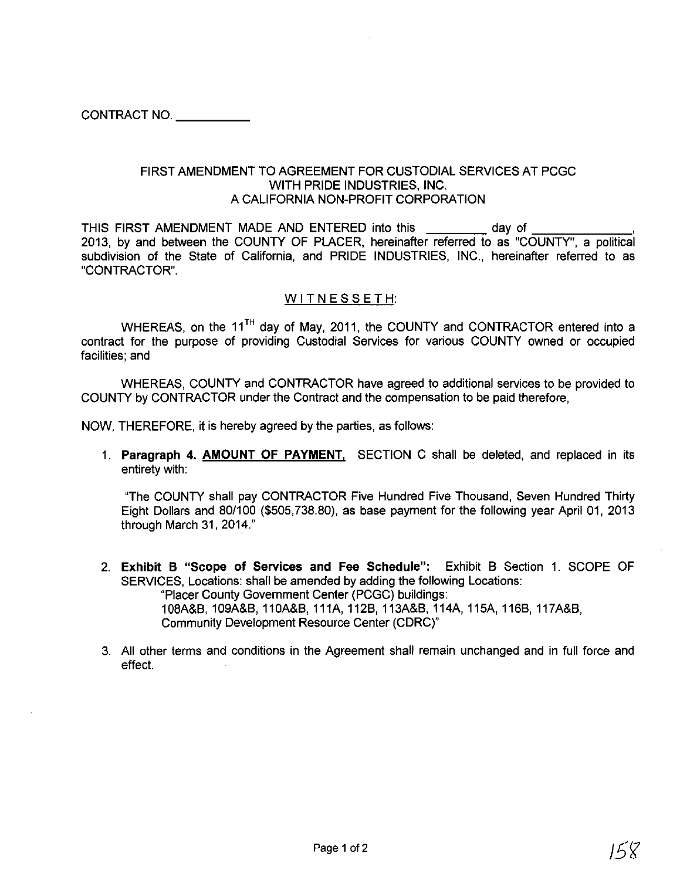CONTRACT NO. \_

#### FIRST AMENDMENT TO AGREEMENT FOR CUSTODIAL SERVICES AT PCGC WITH PRIDE INDUSTRIES, INC. A CALIFORNIA NON-PROFIT CORPORATION

THIS FIRST AMENDMENT MADE AND ENTERED into this day of 2013, by and between the COUNTY OF PLACER, hereinafter referred to as "COUNTY", a political subdivision of the State of California, and PRIDE INDUSTRIES, INC., hereinafter referred to as "CONTRACTOR".

#### WITNESSETH:

WHEREAS, on the 11<sup>TH</sup> day of May, 2011, the COUNTY and CONTRACTOR entered into a contract for the purpose of providing Custodial Services for various COUNTY owned or occupied facilities; and

WHEREAS, COUNTY and CONTRACTOR have agreed to additional services to be provided to COUNTY by CONTRACTOR under the Contract and the compensation to be paid therefore,

NOW, THEREFORE, it is hereby agreed by the parties, as follows:

1. Paragraph 4. AMOUNT OF PAYMENT, SECTION C shall be deleted, and replaced in its entirety with:

"The COUNTY shall pay CONTRACTOR Five Hundred Five Thousand, Seven Hundred Thirty Eight Dollars and 80/100 (\$505,738.80), as base payment for the following year April 01, 2013 through March 31, 2014."

2. Exhibit B "Scope of Services and Fee Schedule": Exhibit B Section 1. SCOPE OF SERVICES, Locations: shall be amended by adding the following Locations: "Placer County Government Center (PCGC) buildings:

108MB, 109A&B, 11OA&B, 111A, 112B, 113A&B, 114A, 115A, 116B, 117MB, Community Development Resource Center (CDRC)"

3. All other terms and conditions in the Agreement shall remain unchanged and in full force and effect.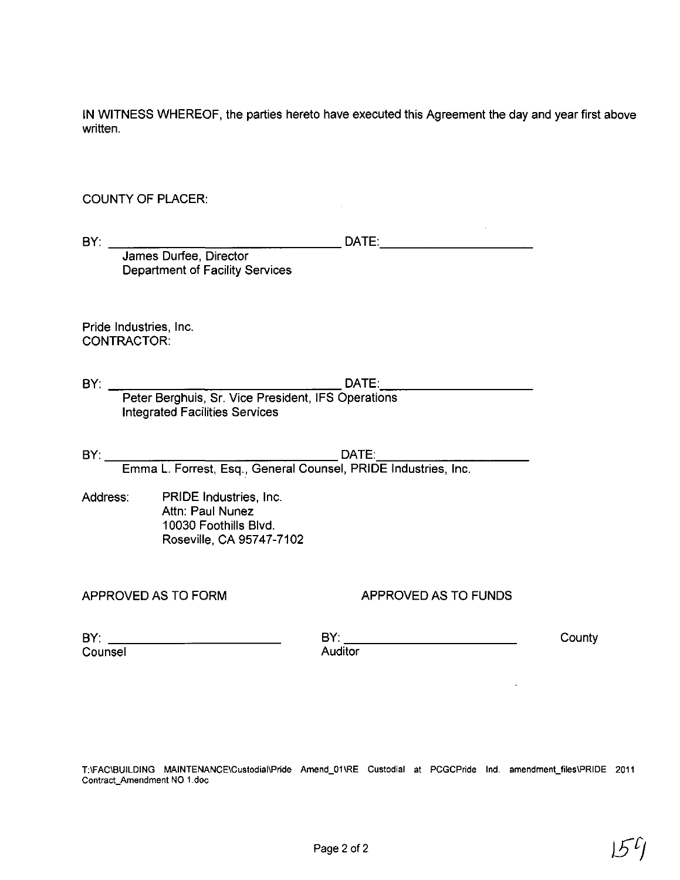IN WITNESS WHEREOF, the parties hereto have executed this Agreement the day and year first above written.

#### **COUNTY OF PLACER:**

Department of Facility Services

Pride Industries, Inc. CONTRACTOR:

DATE:<br>Peter Berghuis, Sr. Vice President, IFS Operations  $BY:$ **Integrated Facilities Services** 

Address: PRIDE Industries, Inc. Attn: Paul Nunez 10030 Foothills Blvd. Roseville, CA 95747-7102

#### APPROVED AS TO FORM

### APPROVED AS TO FUNDS

Counsel

County

T:\FAC\BUILDING MAINTENANCE\Custodial\Pride Amend\_01\RE Custodial at PCGCPride Ind. amendment\_files\PRIDE 2011 Contract\_Amendment NO 1.doc